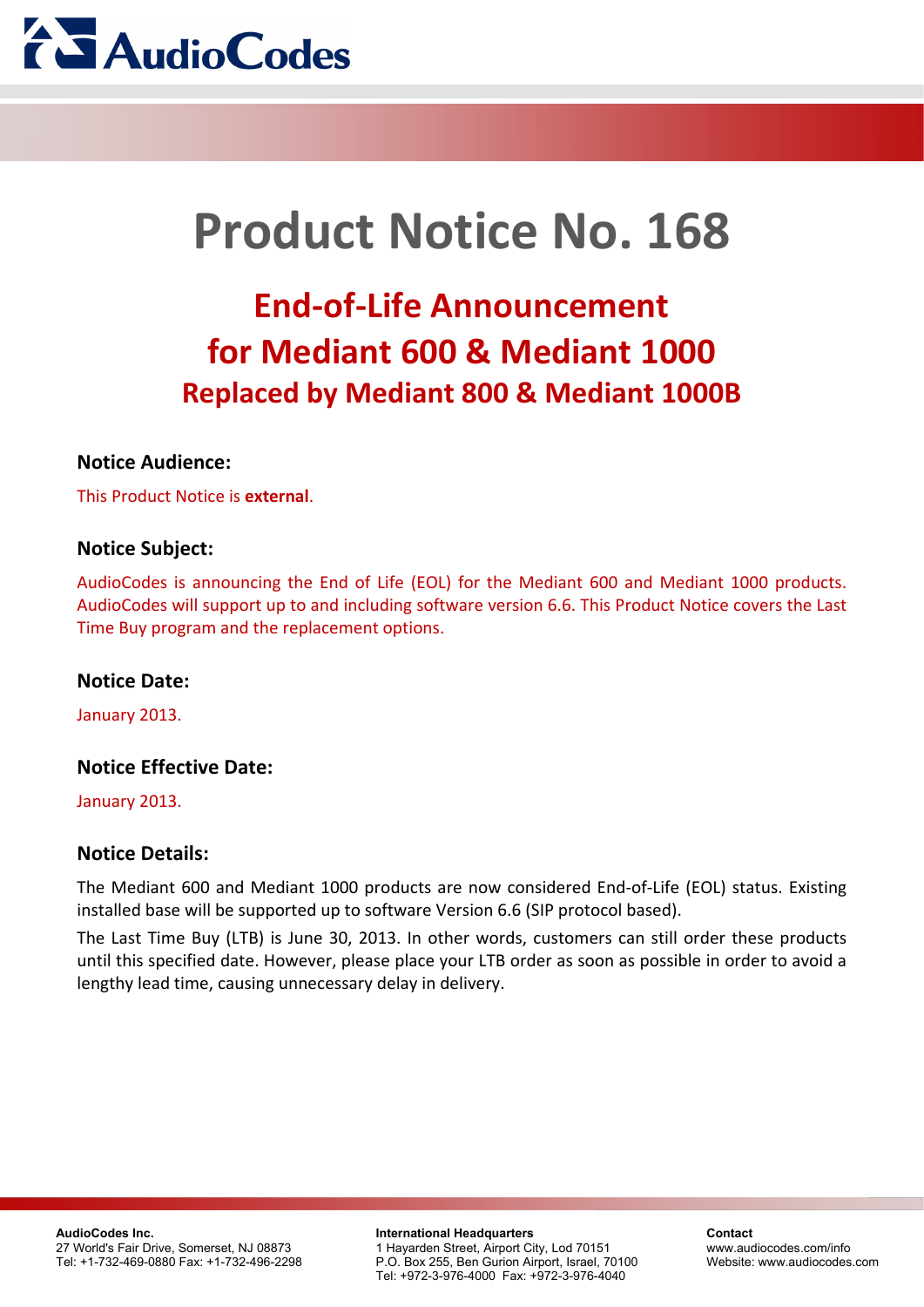

# **Product Notice No. 168**

## **End-of-Life Announcement for Mediant 600 & Mediant 1000 Replaced by Mediant 800 & Mediant 1000B**

## **Notice Audience:**

This Product Notice is **external**.

## **Notice Subject:**

AudioCodes is announcing the End of Life (EOL) for the Mediant 600 and Mediant 1000 products. AudioCodes will support up to and including software version 6.6. This Product Notice covers the Last Time Buy program and the replacement options.

## **Notice Date:**

January 2013.

## **Notice Effective Date:**

January 2013.

## **Notice Details:**

The Mediant 600 and Mediant 1000 products are now considered End-of-Life (EOL) status. Existing installed base will be supported up to software Version 6.6 (SIP protocol based).

The Last Time Buy (LTB) is June 30, 2013. In other words, customers can still order these products until this specified date. However, please place your LTB order as soon as possible in order to avoid a lengthy lead time, causing unnecessary delay in delivery.

#### **International Headquarters** 1 Hayarden Street, Airport City, Lod 70151 P.O. Box 255, Ben Gurion Airport, Israel, 70100 Tel: +972-3-976-4000 Fax: +972-3-976-4040

**Contact** [www.audiocodes.com/info](http://www.audiocodes.com/info)  Website: www.audiocodes.com